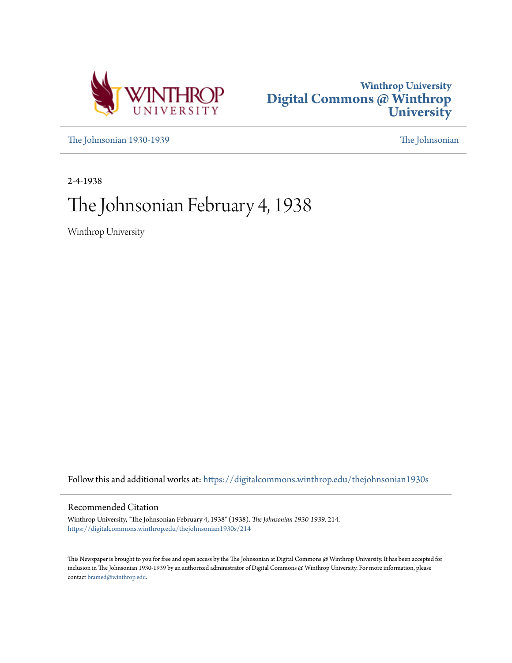



[The Johnsonian 1930-1939](https://digitalcommons.winthrop.edu/thejohnsonian1930s?utm_source=digitalcommons.winthrop.edu%2Fthejohnsonian1930s%2F214&utm_medium=PDF&utm_campaign=PDFCoverPages) [The Johnsonian](https://digitalcommons.winthrop.edu/thejohnsonian_newspaper?utm_source=digitalcommons.winthrop.edu%2Fthejohnsonian1930s%2F214&utm_medium=PDF&utm_campaign=PDFCoverPages)

2-4-1938

# The Johnsonian February 4, 1938

Winthrop University

Follow this and additional works at: [https://digitalcommons.winthrop.edu/thejohnsonian1930s](https://digitalcommons.winthrop.edu/thejohnsonian1930s?utm_source=digitalcommons.winthrop.edu%2Fthejohnsonian1930s%2F214&utm_medium=PDF&utm_campaign=PDFCoverPages)

### Recommended Citation

Winthrop University, "The Johnsonian February 4, 1938" (1938). *The Johnsonian 1930-1939*. 214. [https://digitalcommons.winthrop.edu/thejohnsonian1930s/214](https://digitalcommons.winthrop.edu/thejohnsonian1930s/214?utm_source=digitalcommons.winthrop.edu%2Fthejohnsonian1930s%2F214&utm_medium=PDF&utm_campaign=PDFCoverPages)

This Newspaper is brought to you for free and open access by the The Johnsonian at Digital Commons @ Winthrop University. It has been accepted for inclusion in The Johnsonian 1930-1939 by an authorized administrator of Digital Commons @ Winthrop University. For more information, please contact [bramed@winthrop.edu](mailto:bramed@winthrop.edu).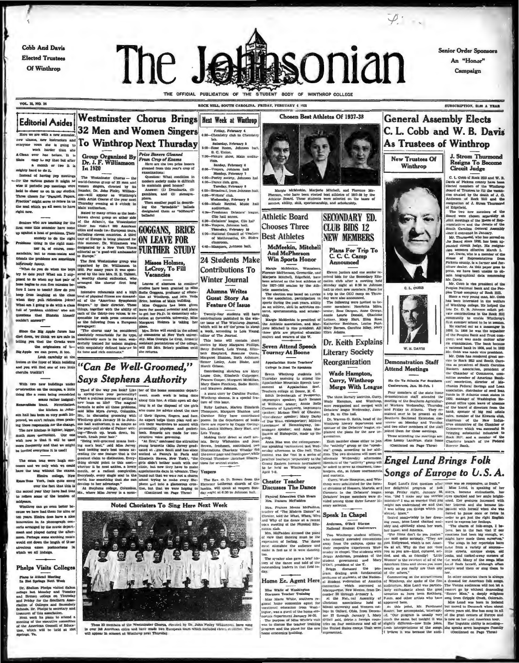**Cobb And Davis Elected Trustees** Of Winthrop

**Editorial Asides** 

we are with a new a

ty hard to do it.<br>stead of having pep m



**Senior Order Sponsors** An "Honor" Campaign

**VOL. 15, NO. 14** 

THE OFFICIAL PUBLICATION OF THE STUDENT BODY OF WINTHROP COLLEGE ROCK HILL, SOUTH CAROLINA, FRIDAY, FEBRUARY 4 1938

Friday, February 4

lab.<br>Materday, February 3<br>5:00-Rose Room, Johnson hall,<br>8. C. Union.<br>7:30-Picture show, Main audito-

7:30—Pieture abor, Main audi<br/>i $\begin{tabular}{l} \hline 130\!\!-\!\!-\!\!3\!cm\!>\!5\!nm\!>\!5\!nm\!>\!7\!km\!-3\!cm\!-3\!cm\!-3\!cm\!-3\!cm\!-3\!cm\!-3\!cm\!-3\!cm\!-3\!cm\!-3\!cm\!-3\!cm\!-3\!cm\!-3\!cm\!-3\!cm\!-3\!cm\!-3\!cm\!-3\!cm\!-3\!cm\!-3\!cm\!-3\!cm\$ 

4:39—Freshman Debaters' league,<br>Cilo hall annex,<br>4:30—Debaters' league, Cilo hal!<br>6:30—Vespers, Johnson hall.

e:so-vespers, Jonnaco nati.<br>Tharefay, February 10<br>4:30-National Council of Teache<br>of Mathematics, Dr. Stoke

classroom.<br>-Masquers, Johnson hall.

**24 Students Make** 

**Contributions To** 

**Winter Journal** 

**Alumna Writes** 

Guest Story As

**Feature Of Issue** 

Twenty-four students will<br>ontributions published in the

ret Bland

 $\frac{1}{2}$ week, according to<br>tor of The Journal.

iontributions published in the wis<br>er issue of The Winthrop Journs<br>which will be off the press in abo

µsese<br>⊢Lola

m, Ruth Ashmor

 $\sim$ 

Chosen Best Athletes Of 1937-38

Margie McMeckin, Marjorie Mitchell, and Florence<br>erson, who have been elected bost athletes of 1937-39 by<br>lietie Board. These students were selected on the base<br>vice, ability, skill, sportsmanship, and scholarship.

**SECONDARY ED.** 

**CLUB BIDS 12** 

**NEW MEMBERS** 

Plans For Trip To<br>C. C. C. Camp<br>Announced

Eleven juniors and one senior received bids for the Secondary Education club miter a meeting held<br>cation club miter a meeting held<br>Monday night at 0:30 in Johnson

Brabham, Los<br>ts, Caroline R

**Literary Society** 

Reorganization

Wade Hampton,

Curry, Winthrop

Merge With League

The three literary societies, Curry,<br>Wade Hampton, and Winthrop,<br>were reorganized and merged with<br>Debatera' league Wednesday, Janu-<br>ury 36, in Clio hall. Dr. Warren G. Kelih, head of th Winthrop history department and sponsor of the Debaters' league, ex-

tion. Each member ch netwity "group or the "speaking"<br>the "schildy" group or the "speaking"<br>inter to divisions will meet or<br>alcomate "wednesday" afternoon<br>alcomate "wednesday" group will

eepers<br>nd com

ed to serve as<br>s, etc., at fut

saugene grossu, ancec sur

**Athletic Board** 

**Chooses Three** 

McMeekin, Mitchell

And McPherson

Win Sports Honor

Margie McMeckin, Winnsbor<br>lorence McPherson, Greenville, at<br>farjorie Mitchell, Edgefield, ha<br>een selected as the best athletes<br>he 1937-1938 sension by the Atl

letic association,<br>The election was based on *tervice*<br>to the association, participation in<br>sports during the past years, ability<br>as an athlete, skill in activities en-

red, sportsmanship, and scholar

Example McMeebth is president of<br>the Athletic association, and Mar-<br>jorie Mitchell is vice president. All<br>three ghis are physical education<br>majors and wearers of the W.

**Seven Attend Speech** 

salachian State Teachers'

**Tourney At Boone** 

College Is Host To Speaker

**Best Athletes** 

SUBSCRIPTION, SLOP A YEAR

## **General Assembly Elects** C. L. Cobb and W. B. Davis **As Trustees of Winthrop**

J. Strom Thurmo Resigns To Be<br>Circuit Judge

> C. L. Cobb of Rock Hill and W. B. tekens county have been Soard of Trustees to fill the w soard of Trustees to rul the vacan-<br>cles crusted by the death of J. G<br>Anderson of Rock Hill and the<br>resignation of J. Strom Thurmone  $th$  of  $J$ ,  $Q$

Annerson or Kock Etim and the control of A. Strom Trummand and the control of A. Strom Trummand (and the Element of the Strom Trummand and the stromagned the Element of Element Control of the control of the Control of the

**BL** ia. bu f Winthrop college, H vate contributions in the Rock community to enable Winths at summer school to be<br>He started out as a man<br>98. In 1906 he was the

W. B. DAVIS

oined them for these meetings. oined them for these meetings. The result of the content and a member of the steeraling the meetings are: Reck Hill, and a member of the Pederal distance of the Pederal (Continued on Page Three) Receiver Bank,

**Engel Lund Brings Folk** Songs of Europe to U.S.A.

To Winthrop Next Thursday gyone vows she is going ever has before. It is<br>easy to my that but after a month or two it is

maphy hard to do it. In 1920<br>
Imated of having pop methus. The Westimineter Chorus – the set the velocity and it might be velocited<br>now group of 32 methods with priority in the set of the set of particle<br>points were veloc

hilferiously funny.

try to hose barins to run five minutes be

telling you that the Greeks were the origin  $rac{1}{2}$ 

as in the fover of Main buildind you will fr bs truckin'i

With two new buildings une n on the campus, a little

retieve some of the tension of rop can go even better be-

en years. Eimira does have a nice<br>nnovation in its phonograph conests arranged by the mutic departest and played during the after-<br>on. Perhaps some soothing mush suid out down the length of those exam po we all induige

# **Phelps Visits Colleges**

J Brenau college ou automated Prichy for the Southern American<br>Alom of Colleges and Seconds<br>hooks, Dr. Pheiges is secretary as<br>"heiges is secretary as

Group Organized By Prize Boners Gleaned<br>Dr. J. F. Williamson Crop of Exams beckeness In 1920

ee the Big Apple furore has The

the we can prove, it too. Look carefully at the

nd one of two little

se we have had them for nine or

Plans to Attend Meeting<br>In Het Springs Next Week

Dr. Shelton Phelps visited Salem<br>bliege last Monday and Tuesday<br>nd Brenau college on Thursday<br>nd Priday for the Southern Asso-

moon, ar. response to this matter.<br>Next week ha plans to attend a<br>Next week ha plans to attend a<br>Nexting of the executive committee

 $\overline{a}$ gamblers, and (3) ster

phera.<br>Then another pupil in de ing the ated them as

GOGGANS, BRICE

**ON LEAVE FOR FURTHER STUDY Misses Holmes** 

**32 Men and Women Singers** 

Westminster Chorus Brings Next Week at Winthrop

us: What com

"lap

LeCroy, To Fill<br>Vacancies

Leaves of absences to

 $6$  it dif

de" balla<br>s "billboar

ain good homes?<br>:: (1) Drunkards, (2)

fore I have to teach? How do you lours. <br>  $\mu$  across on the memorie of court is the character of the particle in the case of the state is the character of compact professor of compact professor of the value of the compac sponsible for<br>as the follow m a European Margaret Holmes is

newspaper:<br>The chorus may be con Mrs. Brice will enroll in the sol on consumeros al Mew York university of commerce at New York university of commerce at New York university of the contract of the collection and the collection of the collection of the collection of the collection of the c iely remarkable for its typ<br>wably sure in its tone, won ed for unit

cause or rue sources.<br>This issue will contain short<br>stories by Mary Margaret Phillips,<br>Betty Bullard, Lois Young, Eliza-<br>beth Shepherd, Roseine Gues. Remer Linley, Autor Blake, and Morell Gibson. "Can Be Well-Groomed," **Says Stephens Authority** 

Tired of the way you look? Like | ber of the home economics depart

Noted Choristers To Sing Here Next Week



uss 23 members of the Westminster Chorus, circuited by Dr. John Pinley Williamson, have sung<br>2008 American cities and have made two European tours which included cleves cosmitted. The post in creative in  $\mathbf{r}$  $-20$ 

Morell Gibson. Controllation and Mattern Montestation and Mattern Contributions (Contribution and Mattern Dominic Transmitter (Approximation Scottistic Approximation Scottistic Approximation and Mattern Johnson. Contribut stributing sketches are Mary<br>e Cole, Elbabeth Cuipepper evia are becomes and the way you book? Like ber of the home economics depart-<br>
The case of the way from the space of the home economics depart-<br>
Using Hise Records and the properties of the space of the space of the space ous spreasing communications were<br>ineday afternoon in Cito hall. This<br>content was the first in a series of<br>practice tourneys preparatory to the

Grand Eastern forensic tourname



C. L. CORR

Menday aight a 4:30 la donnean<br>initial to elect new members. Plana for<br>a trip to the CGG camp on Thurs<br>a trip to the CGG camp on Thurs<br>aye we also announced.<br>The following were lavited to be<br>one members: Henrichta Milles<br>s Dr. Keith Explains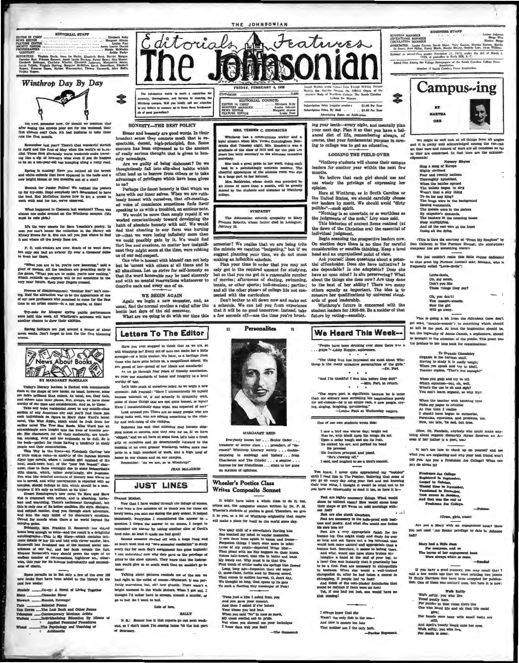



the crowds pour out for the weekwad, the crowds pour out for the weekwad, the

temember last year? There's that wonderful stretch<br>pril and the first of May when the world's so b...u. tilul. Those first gloriously warm weekends make traving like a sip of heaven's wine even if you do hap

ring is coming! Here you noticed all the brow<br>tite orderds that have appeared in the halls and<br>ight blows or two sneaking out of a cost?

Hoorah for Junior Follice! We noticed the post<br>for ixy-outs. Hope everybedy isn't determined to he<br>lead. Kat McCollum known how to get a crowd<br>k with and for her, we're observed.

What happened to Clameon last weekend? There we<br>almost one cadet around on the Winkhrop esmpus. (We<br>must be cute girla.)

It's the very season for Sara Teasdale's poetry. In<br>ame you can't locate the collection in the fibrary ask<br>Unery Evans for it, She can tell you just where to find<br>t and where all the lovely lines are.

P. C. mid-winters are over. Scads of us went down<br>t only one had an aviator fly over a thousand miles<br>meet her there.

"What you are to be, you're now becoming," said a<br>cr of motion. All the teachers are preaching early in<br>game, "What you are to make, yout no move making."<br>the neutrals to --reports will be out sometime in the<br>y near future ver of a

Frowns of disappointment: "Repther may meet on the Richards of the Richards and the promined to come for the Richards of the Richards of the Richards of the Richards of the Richards of the Richards of the materials of the ors who promised to come for the<br>course—in a tux maybe, at that

Try-suis for Manquer spring public pr<br>nu hald this week. All Winthrop's actresses<br>coller chance to show their abilities. es will hav

holidays are just around a corner of a



**EVALUATE THE SECTION AND MATERIAL SECTION AND SECTION AND TREATMONT DESIRIBATION TRANSPORT DESIRIBATION** of the shape of new books. As quead, however, some more hericans than solver that the same of our time and one the

plere if the only as builded as its like!<br>
The Energy State Definition of the same state of the counterparty's new power! To Have and Hever<br>
and energying Theories continues and the same state of the same<br>
of the same stat

campus prima. Prankina D. Roosevelt has stayed how twisted by result in a deligiblical bound long-group in the wind-mail of the limit contains interaction of the limit and bols defining the limit of the limit of the limit

pace parasits us to list only a few of the over 100<br>books that have been added to the library in the

...Co-op: A Noval of Living Togethe

- Starn ...........Oleander River<br>Stewart ........Remiet, Euvengal
- 
- 

Jucking<br>Amail Procedures<br>Anaching of The Pr

ne Johnsonia an wants to meets a rep security, thereuphass, and fairness in cavaring the<br>Minthrap campus, Will you kindly call our attention<br>to any fifture to mosurre up in these three fundaments EDITOR<br>BUSINESS MANAGER<br>REWS EDITOR<br>FEATURE EDITOR Wintlerap same.<br>to any fathers to measure

Editorials

HONESTY\_THE BEST POLICY

2

Honor and honesty are good words. In their<br>broadest sense they connote much that is re-<br>spectable, doesn, high-principled, fine. Some<br>concern has been expressed as to the amount<br>of really serious thought that is given to h vadays. esty not

esty nowadays.<br>
Are we guilty of being dishonest? Do we thoughtlessly fall into slip-shod habits which<br>
often lead us to borrow from others or to take<br>
advantage of privileges which have been given to us?

to us?<br>Perhaps the finest honesty is that which we<br>have with our inner selves. When we are ruth-<br>leasly honest with ourselves, that oft-mention-

leasily honest with ourselves, that often<br>nadio-speeding the violence sometimes finds itself appealing to us with a troubled, an anxious note. We would be more than amply repaid if we would be more than analy repaid if<br>we nann of absolute honesty with self. We would<br>find that cheating in any form was hurting<br>under-that we were losing inflaitely more than<br>we could possibly gain by it. We would find<br>that lies and evasions, no matter how insig cant they might seem at the time, were robbing us of our self-respect.

One who is honest with himself can not help but be 'sonest with others at all times and in that the word honorable may be used sincerely<br>and with no mental reservations whatsoever to<br>descrite each and every one of us.

### WE BEGIN AGAIN

Again we begin a new semester, and, as exit. In that it will be no good tomorrow. Instead, take<br>What are we going to do with our time this a few seconds off—use the time you're brush-<br>What are we going to do with our time this a few seconds off—use the time you

**Letters To The Editor** 

Have you ever stopped to think that as we are, so naw you view every not of ours can make her a little<br>stronger-or a little weaker. We have, as a heritage from<br>those who have grass before us, a magnificant ashed. We<br>have who have grass before us, a magnificant ashed. We<br>a

As to go through four years of friendly satociation,<br>we raise our standards of honor and integrity to a level

rihy of her. works in most nock of curselves today, as we begin a new<br>semester. Ask yoursaid: "Have I unconsciously let superlife<br>become tolerant of, if not scussily in sympathy with.

become tolerant of, if not sctostly in sympathy with some of these the<br>full scheme is not clust in the factor of the latest  $\lambda$ <br>is likew I constitutionly done what was structed of mericular that is<br>constantly to the set

ping stones to success, and they may for us. If we have pushment of many at some time, let's take a fresh "attended " and we all have at some time, let's take a fresh building of an even presider Winklows, taking note real pulsing an a refer presider winkloop, taking note real in our classes and on our camp

ber: "As we are, so is Winthrop' **JEAN McLADRIN** 

**JUST LINES** 

Now that I have wasse incompa the enuope of exama,<br>I can take a few minutes off to thank you for those six<br>lovely bures you again me during the gavy orderl. It helped<br>immensaly. Everytime I remembered the answer to .

food enke. Al least it made me feel spool and least in the face and a<br>decond semanter started off with a happ bang and<br>so much werk taat my "new semaster resolution" to study<br>every day for each day's analyzenent has gone h

tors would give us at much work that we couldn't go to

these provinces above presented a regular control and right in the midst of example-Windowsh I. Was perfectly marresous, but, obt how givestly. There wasn't a bound of the stock of the state have to corream, commit a murde

Lots of love,

F. S.: Humor has it that reports go out next week-d, so I don't think I'm coming home "til the last part

Talking about pictures reminds me of the one we

netion I forgot the answer to an exams, I forgot to<br>nember the answer by taking another slice of Devil's

Now that I have waded the

food cake. At least it made me feel good!

go to bed So I went to bed.

of February.

De rest Mother

puch the deluge of a

th a huge leng and

**BALLY** 

### Wheeler's Poetics Class Writes Composite Sonnet

It might have taken a whole class to do it, but critics any, the composite somes written by Dr. P. M.<br>Wheeler's students of porties is good. Therefore, we give<br>it to you, as a his of Winthrop originality that may<br>be will make a place for itself in this world gome day.

MARGARET REID

 $\begin{minipage}[c]{0.9\textwidth} \begin{tabular}{ll} \textit{m}{\textit{m}{\textit{m}{\textit{m}{\textit{m}{\textit{m}{\textit{m}{\textit{m}{\textit{m}{\textit{m}{\textit{m}{\textit{m}}}}}}} & \textit{if } \textit{m}{\textit{m}{\textit{m}{\textit{m}{\textit{m}{\textit{m}}}}} \\ \textit{Charkeston and The Ciledel & -a asonator }, \textit{if } \textit{h}{\textit{m}{\textit{m}{\textit{m}{\textit{m}}}}} \\ \textit{f}{\textit{am}{\textit{m}{\$ 

Everyhody knows her . . . Senior Order . . . treasurer of senior class . . . president of "decessed" Winthrop Literary society . . . double-

THE JOHNSONIAN

EDITOR

are best b

MRS. VERDEE C. HENDRICKS Winthrop lost a conscientious worker and a<br>a ahmma when Mrs. Verdes Cunningham Hen-<br>is died Tunsday night. Mrs. Hendric.ts was a<br>tuate of the class of 1916 and for the past ant

re to the al

certainy.<br>
She isole a great pride in her work, doing each<br>
is fits is a painstakingly accurate manner. The<br>
hearth appearance of the alumna rown was due<br>
hearth appearance of the alumna rown was delayed by<br>
Mr. Hearithch,

**SYMPATHY** 

The Johnsonian extends sympathy to Mary<br>Prances Roberts, whose father died in Lexington January 22.

seater? We realise that we are being trite

states at the unitate we mention "budgeting," but if we suggest planning your time, we do not mean making an inflexible schednie.

Plan your time in order that you may not<br>only get in the required amount for studying,<br>but so that you can get in a reasonable number

of movies; afternoons of skating, swimming,<br>tennis, or other sports; bull-seasions; parties;<br>and all the other phases of college life not con-

Don't bother to sit down now and make out le. We can tell you from experie

Personalites

 $\mathbf{r}$ 

nected with the curriculum.

 $\mathbf{r}$ 

Links Kelly<br>
Louise Johnson<br>
Margaret Altman<br>
Louise Fant

 $\bullet$  mass a person in embedding that the spherical state in the spherical state in the spherical state of the spherical state of the spherical state of the spherical state of the spherical state of the spherical state of

Twas just a kins I saked from you And you gave your sometries,<br>And you gave your consents.<br>And you gave your consents.<br>Tour kines you had lerb chore<br>When you seld "700" in tone so more,<br>My chest evented out in prish.<br>But when you showed me your technique<br>I

ar Sexuon the Official One States

Featuress

**Una Price (es** \$1.00 Per Yes **Jon Poles, By Mail** \$1.50 Per Yea Rates and

ing your tech-every night, and mentally plan<br>your next day. Plan it so that you have a balanced det of life, remembering always, of<br>anced det of life, remembering always, of<br>neuron considers the system of the conduction.

**LOOKING THE FIELD OVER** 

"Vinthrop students will choose their campus<br>leaders for another year within the next few  $oneh$ 

We believe that each girl should use and use wisely the privilege of expressing her

Here at Winthrop, as in South Carolina or search of the United States, we should carefully choose our leaders by merit. We should avoid "dirty polities"—mob spirit.<br>"Nothing is so uncertain or so worthless as "Nothing is so uncertain or so worthless as

voluments of the mob," Livy once said.<br>This historian of ancient Rome realized (at<br>the dawn of the Christian ara) the essential of

the day of the Christian ara) the essential of<br>field vidual judgment,<br>Eegin seaming the prospective leadern now.<br>On election days there is no time for carreful<br>consideration or seasible thinking. Keep a fevel<br>head and an u

tial office<br>holder. Does also have initiative? Is the dependable? Is also adaptable? Does also<br>have an open mind? is she persevering? What have an open mind? is she persevering? What<br>hold have been solved to the best of he

ands of good leadership.<br>Winthrop's future is eoncerned with the student leaders for 1938-39. Be a molder of that future by voting-sensibly.

### We Heard This Week--

"People have been drinking ever since there  $\pi \sim 0$  graps."—Libby Hopper, sophemore.  $...$  *gram* 

"The thing that has impressed me most about wind<br>throp is the many attractive personalities of the girls."<br> $-Dr$ , Furt.

 $\begin{array}{ccccccccccccc} \bullet & \bullet & \bullet & \bullet & \bullet \end{array}$ 

The negro peet is significant because he is more<br>than one solitary man seribhiling his imprimitions purely<br>for self-release-hele an entire root, a new people, crying, imprimitions,<br>imprimition in the lange of the simple s

One of our own students wrote this:

- I saw a bird one winter day; bright red Was he, with black upon his wings. He and the view of the celest busine and sie its fruit. He celest his eye, and period his head  $\overline{10}$  preened
- He cochen ma eye, and person can seem if the presence conditions of the showing off,"<br>"He's abouing off,"<br>"He's abouing off,"<br>I said, and laughed to see a bird's concelt.
- 
- 

You know, I never quite appreciated my "tou until I read this in Tos Pointer. Balleving that so you go on every day using your feet and not know their true value, I thought it would be crual not  $80000000$ ad be cruel not to let origally to read it too, so here it is-

Peet are highly necessary things. What would<br>hole by exillous be suited above by exilleted and the line of the use of<br> $\alpha$  per vessel movements are the line of the line of<br> $\alpha$  per stress and other lines are the summer of

num zane yoseyer, anat wasa sina weyald onor nosisma.<br>Inis anee (2008-10)<br>This area to express the server as well as the server and the server and the function bulk and sina a leg term of the server of the bulk of the ser

I siways knew that she Wasn't the only fish in the amends and now it occurs too late it occurs too late her am I the only buit. Campus-ing  $_{\rm RT}$ **MARTHA** ORE

**BUSINESS STAFF** 

ASSOCIATEE: Louise Coston, Sarah Shine, Vary Goston, Martha Goston, Martha Coston, International States, Nancy Black, Margie Denny, Sedech Lott, Anne William

Entreed as second class matter November 21, 1923, under the Act of March 3, Entre 1979, et postoffice to Roch Hill, S. C.

Rained First Among the College Newspapers of the South Cervines College Press.<br>Association<br>Mamber of South Carolina Press Association

Louise Jub<br>Bloom

BUSINESS MANAGER<br>ADVENTISING MANAGER<br>CIRCULATION MANAGER

全

We might as well look at all things from all angles<br>and it is pretty well acknowledged among the rah-rah<br>st that wave and runners of wars and nonsense as far<br>at that wave and runners of wars are all nonsense as far<br>at the as they are con

Namery Rhy:<br>Sing a anng of Europe<br>Highly civilized Sing a small of Europe<br>
Highly civilized<br>
Four and twenty mations<br>
Theroughly hynotized.<br>
When the haltles opened<br>
The bullets began to sing<br>
Wear't that a silly thing<br>
To do for any king?<br>
To do for any king?<br>
The kings w Issuing commands,<br>The queens were in the parlors<br>Ey otiquetic's demands,<br>The bankers in the counting house

away multiplying,<br>And all the rest were at the front<br>Doing all the dying,

This is thru the courtesy of "From My Soupbox" by<br>Don Calhoun in The Furman Hornet; the anonymous componer has got something there?

We just couldn't restat this little rhyme de to that great big Furman football star, Maddox, who is

Lovie-dovie,<br>Oh, sny sweet,<br>Don't you like<br>These things they say?

Oh, you don't!<br>You maaniv-we<br>Now the girl<br>Will go away.

This is going a bit from the rid get mad, "m  $de''$  to so sething which sh te left in the past. At least the inspiration should be but the ingenuity of Annie Camak, a sophomore, should be brought to the attention of the public. This poem was the preface to her blue book for examin

To Organic Chemistry<br>Organic is the hardest stuff.<br>Having to study it is really tough;<br>When you speak and try to bluff. lies. "That's not a

When you guin and try to tell Which equation-but, oh, well,<br>What's the use to sit and sigh? carn organic, so why try?

When the teacher with knowing eyes<br>Picks my paper to criticise<br>At this time I realize<br>At this time I realize<br>I should have begun to memoriae, Pormulas, equations, and problems, is<br>Now, too late, "the sad, but true.  $\overline{a}$  too

Olow, Dr. Naudain, anybody who could make any<br>thing about organic chemicity rhyme deserves an A-<br>even if her father is a port, too.)

enelf and nee It isn't too late to check up on you what you are neglecting and why your hest friend want tell you. Are you a Freshman Joe College? What can you do about it!

Frushuna Jue Gollage<br>Registered In Septemb<br>Looped in Golober,<br>Wasted time in Nevember,<br>Wasteland in Jueun September<br>And Chat was time September 30, And Chat was time of<br>Freehman Joe Coll

Are you a Mary with an eng-

Mary had a Hills slam<br>For overyons, and so<br>The lowes of her engageme<br>Were slways white as a

Her he

And An

Walk softly, you who live,<br>For death is near,

### (Oram, girla, cram) dor prin

If you have a good memory, you may recall that  $\pi$  and a few webs ago that we were printing two poems by Emily Harrison that have here is congled for public-<br>by Emily Harrison that have then scoopled for public-<br>tion. On

Walk Beftly Walk Saftly<br>Tread gently here.<br>Tread gently here.<br>For yonder in that room there lies<br>One who loved life and als that life could

give;<br>mds once beay with small tasks are

wil's beauty blank unto her syes.

de in A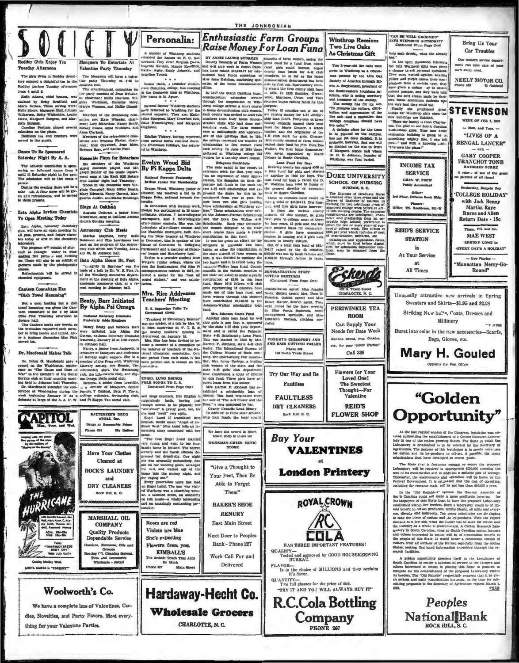**Enthusiastic Farm Groups** Personalia: Raise Money For Loan Funa A number of Winthrop studented the dances at P. C. I<br>weekend. They were: Virginia Da Eugenia Kendali, Mamic Kendri A WANKER AND FACTURE TO LOCATE IT LATER CONTROL ON THE CONTROL CONTROL CONTROL CONTROL CONTROL (THE CONTROL CONTROL CONTROL CONTROL CONTROL CONTROL CONTROL CONTROL CONTROL CONTROL CONTROL CONTROL CONTROL CONTROL CONTROL C Roddey Girls Enjoy Tea Masquers To Entertain At

ungeline

Hattle Higby, Emily John

Bomle Davis, a transfer studer rum Columbia college, has enre

Towell

**Valentine Party Thursday** esday Afternoon ---- garm uving in Roddey dormi-<br>
free Manquers will have a valentiery enjoyed a delight<br>
Roddey parlors Tuesday afternoon Johnson hall.<br>
Roddey parlors Tuesday afternoon Johnson hall. parlors Tuesday silemport in the party Tuesday at 4:46 in until 6. Addina, chief a constant of the party constant of Analysis (2) and the party constant of Analysis (2) and the books, was (2) the chief analysis (2) and th from 4 until 6.

 $\begin{minipage}[t]{.0\textwidth} \begin{tabular}{l|c|c|c|c} \multicolumn{1}{c}{\textbf{if} & \textbf{not} & \textbf{not} & \textbf{not} & \textbf{not} & \textbf{not} & \textbf{not} & \textbf{not} \\ \multicolumn{1}{c}{\textbf{if} & \textbf{not} & \textbf{not} & \textbf{not} & \textbf{not} \\ \multicolumn{1}{c}{\textbf{if} & \textbf{not} & \textbf{not} & \textbf{not} & \textbf{not} & \textbf{not} \\ \multicolumn{1}{c}{\textbf{if} & \textbf{not} & \textbf{not}$ 

mittee are: Frances Harter, chair-<br>man: Ines Crawford, Jean Moss,

### ace To Be Sponsored

Saturday Night By A. A. Eusemble Plays for Rotarian Saturday Night My A.A. [Sansamble Plays for Rotatians<br>
The Albidon is considered in the second of the Michain space of the Schedule<br>
area and Michael II and the second of the members of the Windows property<br>
and Michael I

en and refresher

# **Zeta Alpha Invites Chemis**

To Open Meeting Today Zeta Aipha, honorary che club, will have an open meeting for all past, present, and future chemical form

inhoratory.<br>The program will consist of stan<br>such as changin water to wine,<br>making fire pictures and burning<br>ter. There will also be an exhibit of<br>pictures made by the photography<br>cleanes

 $\overline{R}$ ments will be served in cal equipment

### **Canteen Consultiee Has**

"Dish Towel Hemming"

Not a corn huming but a dish<br>towel hemming was given the Canton committee of the Y by Miss<br>Chio Pink Thursday afternoon in Controller and Loppers hall.<br>Top and The Canton control and the invitation requested each nem-<br>the

hythation requested each mem-<br>to bring needle and thread. Aft-<br>a business discussion Miss Fink er a b

Dr. Macdonald Makes Talk (Hamey, a june from Anderson, is propositional proposition of the State and the method of the state of the State and the Washington on the Washington on the Cause and Care of the Press coup, Witch

**APITO** 

经合适

THE ICANE

SRETA GARBO In "CONQUEST"

Adm. 18c-25c<br>Nite 18c-28c

Tel

"THOROUGHBRED"<br>DON'T CRY"

With Judy Garlin

thing for your Valentine Parties.

Woolworth's Co.

dies, Novelties, and Party Favors. Most every-

We have a complete hne of Valentines, Can-



rr, and Lot

reaction is Batthen" was the control of a talk by Dr. W. E. Fort Jr.<br>of the Winkhrop commerce department at the meeting of Beta Alpha, and a re-<br>andemia commerce disk a re-<br>cent meeting in Johnson hall.

**Beaty, Barr Initiated** By Alpha Psi Omega

# National Honorary Dra

**RATTERREFS DRUG**<br>STORE, the

**Have Your Clother Cleaned** at

**ROCK'S LAUNDRY** 

and

**DRY CLEANERS** 

Rock Hill, S. C.

MARSHALL OIL

**COMPANY** 

**Quality Products** 

Dependable Service

Greases<br>ing ("), Cleaning So

Tires and Accessories<br>Wholesale - Retail

ciline, Mercesse, Oile and

Phone 630

**Contract May Park** 

We Dallwe

Nancy Beaty and Rebecca Barr<br>were initiated into Alpha Psi Omega, nation ty, January 25 at 4:30 o'clock in Johnson hall. Nancy, a junior from Anderson, is



Edaline Vickery, having recovered from serious burns received during<br>the Christman holidays, has returned to Winthrop,

the college p

cel le Winkings.<br>
Subset centres a Winkings cellares and interactions are cell then age in the position by Marie Cellares and the subset of the subset of the subset of the subset of the subset of the subset of the subset

Greenwood Group (1916)<br>
"Teaching of Elementary Belence" Another state loan fund for 4-14<br>
was the subject of Klence<br>
and the subject of Klence and the state loan fund for 4-14<br>
was the subject of Kalik (1916) and the sta

**ENGEL LUND BRINGS<br>FOLK SONGS TO U.S.**<br>Continued From Page One)

Flowers from you.

**KIMBALL'S** 

The Artistic Touch That Adds<br>So Much

Main Street

Phone 337



Hore, Mrs. Leroy Springs, a basilon signal the state 4-M gafar changes and the have evantifieded a total of \$550.00 this frame in the state and the have evantifieded a total of \$550.00 curve langer and curve and control c and sings nineteen. Her English is 3100.00. This find content<br>into a supersingly fastle, having just the sale of "The 4-H Glover and the<br>supersingly fastle, having just the sale of "The 4-H Glover and the<br>discussion for b

We have the newest in 82<br>Music. Stop in to see us "The first Engel Lund married WORKMAN-GREEN MUSIC<br>STORE

Your Feet, Then Be Able to Forget

RENIJRY

Next Door to Peoples Bank - Phone 227

Hardaway-Hecht Co. **Wholesale Grocers** 

CHARLOTTE, N. C.

Winthrop Receives **Two Live Oaks** As Christmas Gift

THE JOHNSONIAN

given to Winthrop as a Christgiven to Winkhrop as a Christopher and present by the Live Oaks<br>Booiety of America through Bidwin and Stephenson, president of<br>the Southwestern Louislana in-<br>withing the southwestern Louislana in-<br>and treatment of the soc

to mone occupatements of the condition of the party of the school and the field county was invited to send two her nation members from the field condition and the party of the school and the state state of the state state

SCHOOL OF NURSING

**DURHAM, N. C.** 

The Diploma of Graduate Nurse<br>a swarded after three years and the Degree of Bachelor of Belchorn<br>Mursing for two additional years of<br>sproved college work before or aft and the strained<br>of the causal of the entrance of the

Eskerdø

CHARLOTTE, N. C

PERIWINKLE TEA

**ROOM** 

Can Supply Your

Needs for Date Week

ete, for your "Room Parties"

Call 339

**Flowers** for Your

**Loved One!** 

**The Sweetest** Thought-For

Valentine

**REID'S** 

**FLOWER SHOP** 

nena Bread, Pies, Cookies

Two 2-year-old live caks were

The society has for the alm

Free onle-mass a resolution that the value of values,<br>" $\sim 0.00\,$  vollage campuses should have values to<br> $\sim 0.00\,$  and  $\sim 0.00\,$  campus,  $\sim 0.00\,$ <br> $\sim 0.00\,$  and  $\sim 0.00\,$  campus base of the base of<br> $\sim 0.00\,$ 

fety has sure, distri-<br>Me the culture, distri-<br>of appreciation of that To promote the culture<br>bution and appreciation<br>live oak-and a resolut

chance to ask pe

standing vocal, The farm women into a scheme and the Grunner, a scheme were a smith<br>jumstic and apprecia- tuntler and the originator of the transfer of the<br>ties of the college moreased the number of livel county council o **DUKE UNIVERSITY** 

tieth.<br>Dean.

on the intervals, district agent; and Miss and the intervals identifying the intervals of the intervals of the intervals of the intervals of the intervals of the intervals of the intervals of the intervals of the intervals

итъ сн WRIGHT'S CHIROPODY AND<br>IND HAIR CUTTING PABLOI

Phone 626<br>138 North Trade Street

Try Our Way and Be

**Faultless** 

**FAULTLESS** 

**DRY CLEANERS** 

**Buy Your** 

**FLAVOR-**

it's flavor.  $QUANTITY$  Two full glasses for the price of one.

**VALENTINES** 

**London Printery** 

ROYAL CROWN

COLA

HAS THREE IMPORTANT FEATURES!

QUALITY-<br>Tested and approved by GOOD HOUSEKEEPING<br>HUREAU.

"TRY IT AND YOU WILL ALWAYS BUY IT"

**R.C.Cola Bottling** 

Company

PHONE 267

Is is the choice of MILLIONS and they acclaim

at

Rock Hill, S. C.

of the



AN BE WELL GROOMED

trip sach druste, what she all In the open discussion follows

up land They were warned against wearin yellow and purple unless their com-<br>
plotting Phone BS<br>
plotting Western a margue ay to obtain:<br>
were given a margue ay to obtain:<br>
severe press a margue ay to obtain:<br>
non-home economics studied<br>
that the cold crease man

**Bring Us Your** 

Car Trophles

ment can take care of your

WEEK OF FEB. 1, 1928

 $-$  Mon. and Tues.  $-$ 

"LIVES OF A

Our modern service des

car's every need.

"Since my family is from Charles-<br>"Since my family is from Charles- $M$  and gove Sour new homes<br>intuiting system and the property of the mething mighty fine, I can tell<br> $u$ --" and with a knowing ... I've seen the ple

**BENGAL LANCER" GARY COOPER FRANCHOT TONE INCOME TAX SERVICE** rcian., of one of the go-<br>ictures of all times! CHAS. W. FREW *<u>Lic Acce</u>* **raday**, Bargain Day Office?<br>2rd Floor, Citizens Bank Bldg. **COLLEGE HOLIDAY** with Jack Benny  $\mathbf{r}$ **Martha Rave** Office, 792, Reald ne. 891-W **Burns and All** requirements are intelligence, chao-<br>notice and graduation from an est-<br>cepable high school; preference is<br>curve for ene or more years of suc-<br>censiul college work. The totion is<br>stop per year which includes all cost<br>of ma Return Date - 15c L. Fri. and Sai **REID'S SERVICE MAE WEST STATION** Catalogues and application forms,<br>which must be filed before August<br>first for admission September thir-<br>tituth, may be obtained from the<br>Dean. EDMUND LOWE In  $\frac{1}{16}$ EVERY DAY'S A HOLIDAY" At Your Service  $-$  Now Playing  $$ at Mannattan Merry-Go-All Times Round" Unusually attractive new arrivals in Spring Swenters and Skirts-\$1.95 and \$2.98 Striking New Sul'+4, Coats, Dresses and Millinery my steel Burst into color in the new accessories-Scarfs, Bags, Gloves, etc. Mary H. Gouled Opposite the Post Offels "Golden Opportunity" At the hast regular scale<br>and the Congress, legislation was ensured authorizing the establishment of a Cotton Rescursh Lahors-tory in consider the<br>problem of the colones growing filters. The filter in which the considerat The Biate that is fortunate chough to secure the pro-<br>boratory will be required to appropriate \$250,000 covering<br>t of its construction and in addition a suitable plot of set  $\overline{a}$  the cat of its o cost of its constructuon and us accused constant proton and the boundary Thereafter, the maintenance shid operation will be bound by the Pederal Government. It is estimated that the cost of operation which including the r ne by the including the research taffit, still be real considered in the constraints of the scale and the scale and the scale in the scale and the scale in the scale of the scale of the scale of the scale of the scale of the scale

ors from all acctions of the Nation, especially from the cotton<br>as, seeking first hand information averabled through the re-<br>ch facilities.

A golden opportunity presents itself to the Leral<br>atter of South Carolina to resulte a substantial serve to the furner and<br>complete for the excellent of the sympaton is photon to the endotion<br>spaces of the proposed to com -netab

Peoples National Bank ROCK HILL, S. C.



Work Call For and

Delivered